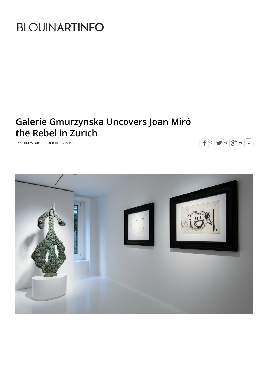# **BLOUINARTINFO**

## **Galerie Gmurzynska Uncovers Joan Miró the Rebel in Zurich**



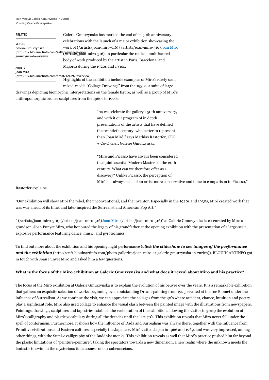Joan Miro at Galerie Gmurzynska in Zurich (Courtesy Galerie Gmurzynska)

#### **RELATED**

**ARTISTS**

**VENUES Galerie Gmurzynska gmurzynska/overview)**

(http://uk.blouinartinfo.com/galleryguide(galerie<sub>i</sub>-miro-516), in particular the radical, multifaceted Galerie Gmurzynska has marked the end of its 50th anniversary celebrations with the launch of a major exhibition showcasing the [work of \(/artists/joan-miro-516\) \(/artists/joan-miro-516\)Joan Miro](http://uk.blouinartinfo.com/artists/joan-miro-516) body of work produced by the artist in Paris, Barcelona, and Majorca during the 1920s and 1930s.

**Joan Miro [\(http://uk.blouinartinfo.com/artist/124397/overview\)](http://uk.blouinartinfo.com/artist/124397/overview)**

Highlights of the exhibition include examples of Miro's rarely seen mixed-media "Collage-Drawings" from the 1930s, a suite of large

drawings depicting biomorphic interpretations on the female figure, as well as a group of Miró's anthropomorphic bronze sculptures from the 1960s to 1970s.

> "As we celebrate the gallery's 50th anniversary, and with it our program of in depth presentations of the artists that have defined the twentieth century, who better to represent than Joan Miró," says Mathias Rastorfer, CEO + Co-Owner, Galerie Gmurzynska.

"Miró and Picasso have always been considered the quintessential Modern Masters of the 20th century. What can we therefore offer as a discovery? Unlike Picasso, the perception of Miró has always been of an artist more conservative and tame in comparison to Picasso,"

Rastorfer explains.

"Our exhibition will show Miró the rebel, the unconventional, and the inventor. Especially in the 1920s and 1930s, Miró created work that was way ahead of its time, and later inspired the Surrealist and American Pop Art."

[" \(/artists/joan-miro-516\) \(/artists/joan-miro-516\)Joan Miro \(/artists/joan-miro-516\)"](http://uk.blouinartinfo.com/artists/joan-miro-516) at Galerie Gmurzynska is co-curated by Miro's grandson, Joan Punyet Miro, who honoured the legacy of his grandfather at the opening exhibition with the presentation of a large-scale, explosive performance featuring dance, music, and pyrotechnics.

To find out more about the exhibition and his opening night performance (*click the slideshow to see images of the performance and the exhibition* [\(http://enfr.blouinartinfo.com/photo-galleries/joan-miro-at-galerie-gmurzynska-in-zurich\)\), BLOUIN ARTINFO](http://enfr.blouinartinfo.com/photo-galleries/joan-miro-at-galerie-gmurzynska-in-zurich) got in touch with Joan Punyet Miro and asked him a few questions.

#### **What is the focus of the Miro exhibition at Galerie Gmurzynska and what does it reveal about Miro and his practice?**

The focus of the Miró exhibition at Galerie Gmurzynska is to explain the evolution of his oeuvre over the years. It is a remarkable exhibition that gathers an exquisite selection of works, beginning by an outstanding Dream-painting from 1925, created at the rue Blomet under the influence of Surrealism. As we continue the visit, we can appreciate the collages from the 30's where accident, chance, intuition and poetry play a significant role. Miró also used collage to enhance the visual clash between the painted image with the illustrations from newspapers. Paintings, drawings, sculptures and tapestries establish the vertebration of the exhibition, allowing the visitor to grasp the evolution of Miró's calligraphy and plastic vocabulary during all the decades until the late 70's. This exhibition reveals that Miró never fell under the spell of conformism. Furthermore, it shows how the influence of Dada and Surrealism was always there, together with the influence from Primitive civilizations and Eastern cultures, especially the Japanese. Miró visited Japan in 1966 and 1969, and was very impressed, among other things, with the Sumi-e calligraphy of the Buddhist monks. This exhibition reveals as well that Miró's practice pushed him far beyond the plastic limitations of "peinture-peinture", taking the spectators towards a new dimension, a new realm where the unknown meets the fantastic to swim in the mysterious timelessness of our subconscious.